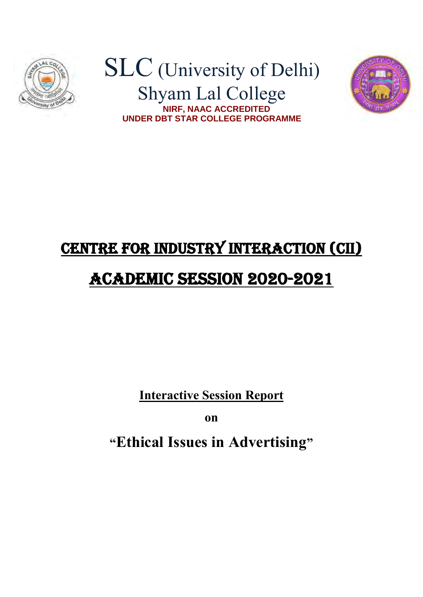

### SLC (University of Delhi) Shyam Lal College  **NIRF, NAAC ACCREDITED UNDER DBT STAR COLLEGE PROGRAMME**



## Centre for Industry Interaction (CII)

# Academic Session 2020-2021

**Interactive Session Report** 

**on** 

**"Ethical Issues in Advertising"**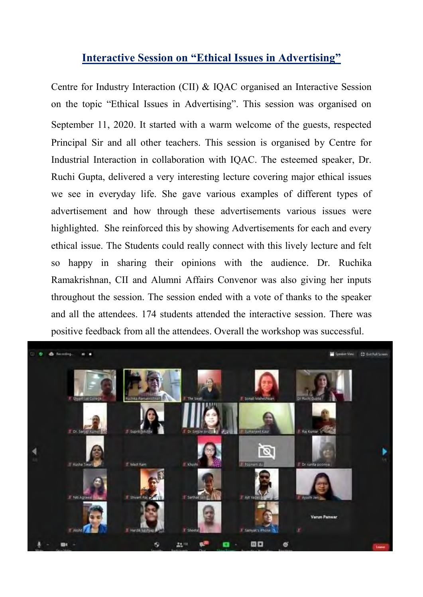#### **Interactive Session on "Ethical Issues in Advertising"**

Centre for Industry Interaction (CII) & IQAC organised an Interactive Session on the topic "Ethical Issues in Advertising". This session was organised on September 11, 2020. It started with a warm welcome of the guests, respected Principal Sir and all other teachers. This session is organised by Centre for Industrial Interaction in collaboration with IQAC. The esteemed speaker, Dr. Ruchi Gupta, delivered a very interesting lecture covering major ethical issues we see in everyday life. She gave various examples of different types of advertisement and how through these advertisements various issues were highlighted. She reinforced this by showing Advertisements for each and every ethical issue. The Students could really connect with this lively lecture and felt so happy in sharing their opinions with the audience. Dr. Ruchika Ramakrishnan, CII and Alumni Affairs Convenor was also giving her inputs throughout the session. The session ended with a vote of thanks to the speaker and all the attendees. 174 students attended the interactive session. There was positive feedback from all the attendees. Overall the workshop was successful.

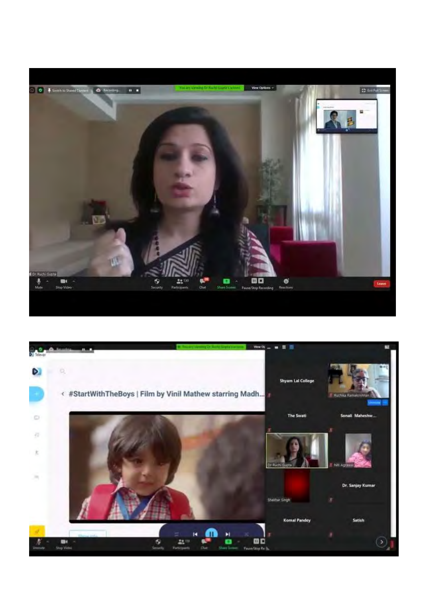